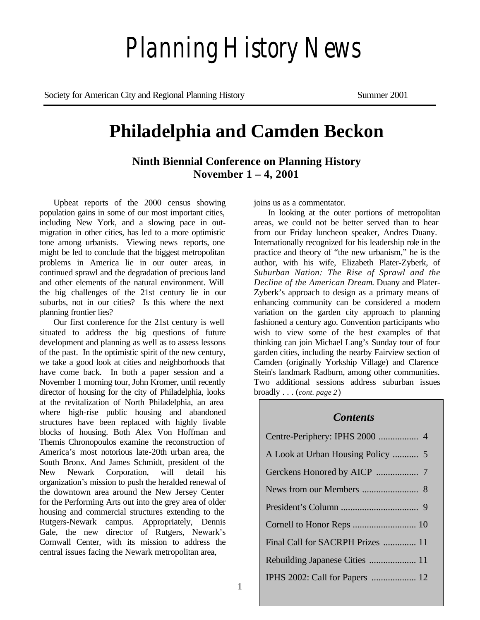# *Planning History News*

Society for American City and Regional Planning History Summer 2001

# **Philadelphia and Camden Beckon**

**Ninth Biennial Conference on Planning History November 1 – 4, 2001**

Upbeat reports of the 2000 census showing population gains in some of our most important cities, including New York, and a slowing pace in outmigration in other cities, has led to a more optimistic tone among urbanists. Viewing news reports, one might be led to conclude that the biggest metropolitan problems in America lie in our outer areas, in continued sprawl and the degradation of precious land and other elements of the natural environment. Will the big challenges of the 21st century lie in our suburbs, not in our cities? Is this where the next planning frontier lies?

Our first conference for the 21st century is well situated to address the big questions of future development and planning as well as to assess lessons of the past. In the optimistic spirit of the new century, we take a good look at cities and neighborhoods that have come back. In both a paper session and a November 1 morning tour, John Kromer, until recently director of housing for the city of Philadelphia, looks at the revitalization of North Philadelphia, an area where high-rise public housing and abandoned structures have been replaced with highly livable blocks of housing. Both Alex Von Hoffman and Themis Chronopoulos examine the reconstruction of America's most notorious late-20th urban area, the South Bronx. And James Schmidt, president of the New Newark Corporation, will detail his organization's mission to push the heralded renewal of the downtown area around the New Jersey Center for the Performing Arts out into the grey area of older housing and commercial structures extending to the Rutgers-Newark campus. Appropriately, Dennis Gale, the new director of Rutgers, Newark's Cornwall Center, with its mission to address the central issues facing the Newark metropolitan area,

joins us as a commentator.

In looking at the outer portions of metropolitan areas, we could not be better served than to hear from our Friday luncheon speaker, Andres Duany. Internationally recognized for his leadership role in the practice and theory of "the new urbanism," he is the author, with his wife, Elizabeth Plater-Zyberk, of *Suburban Nation: The Rise of Sprawl and the Decline of the American Dream*. Duany and Plater-Zyberk's approach to design as a primary means of enhancing community can be considered a modern variation on the garden city approach to planning fashioned a century ago. Convention participants who wish to view some of the best examples of that thinking can join Michael Lang's Sunday tour of four garden cities, including the nearby Fairview section of Camden (originally Yorkship Village) and Clarence Stein's landmark Radburn, among other communities. Two additional sessions address suburban issues broadly . . . (*cont. page 2*)

#### *Contents*

| Final Call for SACRPH Prizes  11 |
|----------------------------------|
| Rebuilding Japanese Cities  11   |
| IPHS 2002: Call for Papers  12   |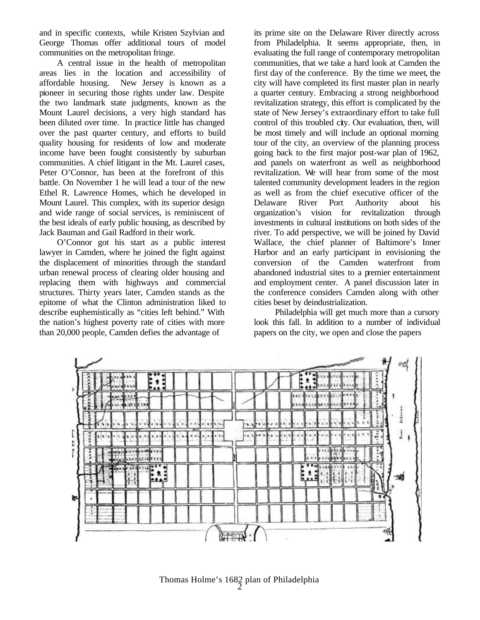and in specific contexts, while Kristen Szylvian and George Thomas offer additional tours of model communities on the metropolitan fringe.

A central issue in the health of metropolitan areas lies in the location and accessibility of affordable housing. New Jersey is known as a pioneer in securing those rights under law. Despite the two landmark state judgments, known as the Mount Laurel decisions, a very high standard has been diluted over time. In practice little has changed over the past quarter century, and efforts to build quality housing for residents of low and moderate income have been fought consistently by suburban communities. A chief litigant in the Mt. Laurel cases, Peter O'Connor, has been at the forefront of this battle. On November 1 he will lead a tour of the new Ethel R. Lawrence Homes, which he developed in Mount Laurel. This complex, with its superior design and wide range of social services, is reminiscent of the best ideals of early public housing, as described by Jack Bauman and Gail Radford in their work.

O'Connor got his start as a public interest lawyer in Camden, where he joined the fight against the displacement of minorities through the standard urban renewal process of clearing older housing and replacing them with highways and commercial structures. Thirty years later, Camden stands as the epitome of what the Clinton administration liked to describe euphemistically as "cities left behind." With the nation's highest poverty rate of cities with more than 20,000 people, Camden defies the advantage of

its prime site on the Delaware River directly across from Philadelphia. It seems appropriate, then, in evaluating the full range of contemporary metropolitan communities, that we take a hard look at Camden the first day of the conference. By the time we meet, the city will have completed its first master plan in nearly a quarter century. Embracing a strong neighborhood revitalization strategy, this effort is complicated by the state of New Jersey's extraordinary effort to take full control of this troubled city. Our evaluation, then, will be most timely and will include an optional morning tour of the city, an overview of the planning process going back to the first major post-war plan of 1962, and panels on waterfront as well as neighborhood revitalization. We will hear from some of the most talented community development leaders in the region as well as from the chief executive officer of the Delaware River Port Authority about his organization's vision for revitalization through investments in cultural institutions on both sides of the river. To add perspective, we will be joined by David Wallace, the chief planner of Baltimore's Inner Harbor and an early participant in envisioning the conversion of the Camden waterfront from abandoned industrial sites to a premier entertainment and employment center. A panel discussion later in the conference considers Camden along with other cities beset by deindustrialization.

Philadelphia will get much more than a cursory look this fall. In addition to a number of individual papers on the city, we open and close the papers



 $\bar{2}$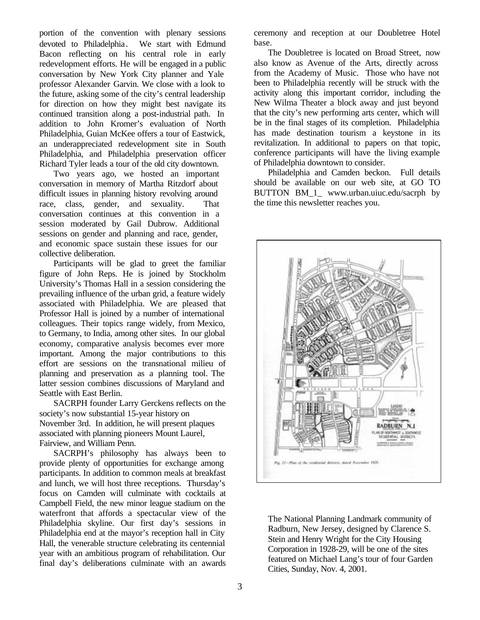portion of the convention with plenary sessions devoted to Philadelphia. We start with Edmund Bacon reflecting on his central role in early redevelopment efforts. He will be engaged in a public conversation by New York City planner and Yale professor Alexander Garvin. We close with a look to the future, asking some of the city's central leadership for direction on how they might best navigate its continued transition along a post-industrial path. In addition to John Kromer's evaluation of North Philadelphia, Guian McKee offers a tour of Eastwick, an underappreciated redevelopment site in South Philadelphia, and Philadelphia preservation officer Richard Tyler leads a tour of the old city downtown.

Two years ago, we hosted an important conversation in memory of Martha Ritzdorf about difficult issues in planning history revolving around race, class, gender, and sexuality. That conversation continues at this convention in a session moderated by Gail Dubrow. Additional sessions on gender and planning and race, gender, and economic space sustain these issues for our collective deliberation.

Participants will be glad to greet the familiar figure of John Reps. He is joined by Stockholm University's Thomas Hall in a session considering the prevailing influence of the urban grid, a feature widely associated with Philadelphia. We are pleased that Professor Hall is joined by a number of international colleagues. Their topics range widely, from Mexico, to Germany, to India, among other sites. In our global economy, comparative analysis becomes ever more important. Among the major contributions to this effort are sessions on the transnational milieu of planning and preservation as a planning tool. The latter session combines discussions of Maryland and Seattle with East Berlin.

SACRPH founder Larry Gerckens reflects on the society's now substantial 15-year history on November 3rd. In addition, he will present plaques associated with planning pioneers Mount Laurel, Fairview, and William Penn.

SACRPH's philosophy has always been to provide plenty of opportunities for exchange among participants. In addition to common meals at breakfast and lunch, we will host three receptions. Thursday's focus on Camden will culminate with cocktails at Campbell Field, the new minor league stadium on the waterfront that affords a spectacular view of the Philadelphia skyline. Our first day's sessions in Philadelphia end at the mayor's reception hall in City Hall, the venerable structure celebrating its centennial year with an ambitious program of rehabilitation. Our final day's deliberations culminate with an awards

ceremony and reception at our Doubletree Hotel base.

The Doubletree is located on Broad Street, now also know as Avenue of the Arts, directly across from the Academy of Music. Those who have not been to Philadelphia recently will be struck with the activity along this important corridor, including the New Wilma Theater a block away and just beyond that the city's new performing arts center, which will be in the final stages of its completion. Philadelphia has made destination tourism a keystone in its revitalization. In additional to papers on that topic, conference participants will have the living example of Philadelphia downtown to consider.

Philadelphia and Camden beckon. Full details should be available on our web site, at GO TO BUTTON BM\_1\_ www.urban.uiuc.edu/sacrph by the time this newsletter reaches you.



The National Planning Landmark community of Radburn, New Jersey, designed by Clarence S. Stein and Henry Wright for the City Housing Corporation in 1928-29, will be one of the sites featured on Michael Lang's tour of four Garden Cities, Sunday, Nov. 4, 2001.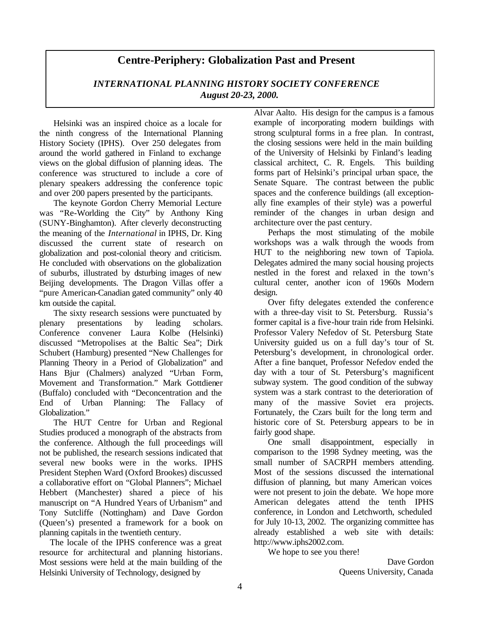# **Centre-Periphery: Globalization Past and Present**

#### *INTERNATIONAL PLANNING HISTORY SOCIETY CONFERENCE August 20-23, 2000.*

Helsinki was an inspired choice as a locale for the ninth congress of the International Planning History Society (IPHS). Over 250 delegates from around the world gathered in Finland to exchange views on the global diffusion of planning ideas. The conference was structured to include a core of plenary speakers addressing the conference topic and over 200 papers presented by the participants.

The keynote Gordon Cherry Memorial Lecture was "Re-Worlding the City" by Anthony King (SUNY-Binghamton). After cleverly deconstructing the meaning of the *International* in IPHS, Dr. King discussed the current state of research on globalization and post-colonial theory and criticism. He concluded with observations on the globalization of suburbs, illustrated by disturbing images of new Beijing developments. The Dragon Villas offer a "pure American-Canadian gated community" only 40 km outside the capital.

The sixty research sessions were punctuated by plenary presentations by leading scholars. Conference convener Laura Kolbe (Helsinki) discussed "Metropolises at the Baltic Sea"; Dirk Schubert (Hamburg) presented "New Challenges for Planning Theory in a Period of Globalization" and Hans Bjur (Chalmers) analyzed "Urban Form, Movement and Transformation." Mark Gottdiener (Buffalo) concluded with "Deconcentration and the End of Urban Planning: The Fallacy of Globalization."

The HUT Centre for Urban and Regional Studies produced a monograph of the abstracts from the conference. Although the full proceedings will not be published, the research sessions indicated that several new books were in the works. IPHS President Stephen Ward (Oxford Brookes) discussed a collaborative effort on "Global Planners"; Michael Hebbert (Manchester) shared a piece of his manuscript on "A Hundred Years of Urbanism" and Tony Sutcliffe (Nottingham) and Dave Gordon (Queen's) presented a framework for a book on planning capitals in the twentieth century.

The locale of the IPHS conference was a great resource for architectural and planning historians. Most sessions were held at the main building of the Helsinki University of Technology, designed by

Alvar Aalto. His design for the campus is a famous example of incorporating modern buildings with strong sculptural forms in a free plan. In contrast, the closing sessions were held in the main building of the University of Helsinki by Finland's leading classical architect, C. R. Engels. This building forms part of Helsinki's principal urban space, the Senate Square. The contrast between the public spaces and the conference buildings (all exceptionally fine examples of their style) was a powerful reminder of the changes in urban design and architecture over the past century.

Perhaps the most stimulating of the mobile workshops was a walk through the woods from HUT to the neighboring new town of Tapiola. Delegates admired the many social housing projects nestled in the forest and relaxed in the town's cultural center, another icon of 1960s Modern design.

Over fifty delegates extended the conference with a three-day visit to St. Petersburg. Russia's former capital is a five-hour train ride from Helsinki. Professor Valery Nefedov of St. Petersburg State University guided us on a full day's tour of St. Petersburg's development, in chronological order. After a fine banquet, Professor Nefedov ended the day with a tour of St. Petersburg's magnificent subway system. The good condition of the subway system was a stark contrast to the deterioration of many of the massive Soviet era projects. Fortunately, the Czars built for the long term and historic core of St. Petersburg appears to be in fairly good shape.

One small disappointment, especially in comparison to the 1998 Sydney meeting, was the small number of SACRPH members attending. Most of the sessions discussed the international diffusion of planning, but many American voices were not present to join the debate. We hope more American delegates attend the tenth IPHS conference, in London and Letchworth, scheduled for July 10-13, 2002. The organizing committee has already established a web site with details: http://www.iphs2002.com.

We hope to see you there!

Dave Gordon Queens University, Canada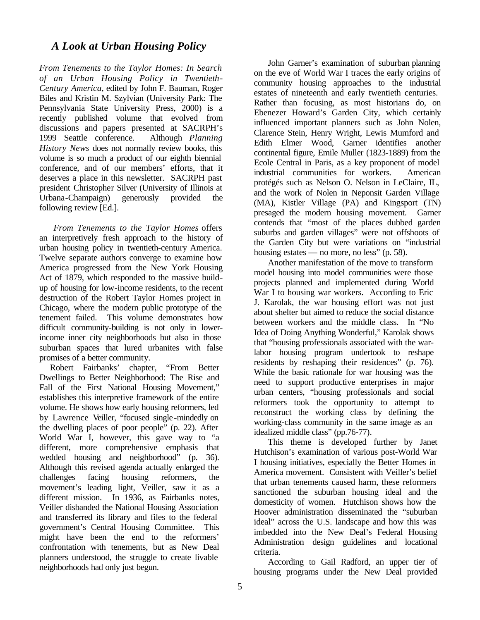### *A Look at Urban Housing Policy*

*From Tenements to the Taylor Homes: In Search of an Urban Housing Policy in Twentieth-Century America*, edited by John F. Bauman, Roger Biles and Kristin M. Szylvian (University Park: The Pennsylvania State University Press, 2000) is a recently published volume that evolved from discussions and papers presented at SACRPH's 1999 Seattle conference. Although *Planning History News* does not normally review books, this volume is so much a product of our eighth biennial conference, and of our members' efforts, that it deserves a place in this newsletter. SACRPH past president Christopher Silver (University of Illinois at Urbana-Champaign) generously provided the following review [Ed.].

*From Tenements to the Taylor Homes* offers an interpretively fresh approach to the history of urban housing policy in twentieth-century America. Twelve separate authors converge to examine how America progressed from the New York Housing Act of 1879, which responded to the massive buildup of housing for low-income residents, to the recent destruction of the Robert Taylor Homes project in Chicago, where the modern public prototype of the tenement failed. This volume demonstrates how difficult community-building is not only in lowerincome inner city neighborhoods but also in those suburban spaces that lured urbanites with false promises of a better community.

Robert Fairbanks' chapter, "From Better Dwellings to Better Neighborhood: The Rise and Fall of the First National Housing Movement," establishes this interpretive framework of the entire volume. He shows how early housing reformers, led by Lawrence Veiller, "focused single-mindedly on the dwelling places of poor people" (p. 22). After World War I, however, this gave way to "a different, more comprehensive emphasis that wedded housing and neighborhood" (p. 36). Although this revised agenda actually enlarged the challenges facing housing reformers, the movement's leading light, Veiller, saw it as a different mission. In 1936, as Fairbanks notes, Veiller disbanded the National Housing Association and transferred its library and files to the federal government's Central Housing Committee. This might have been the end to the reformers' confrontation with tenements, but as New Deal planners understood, the struggle to create livable neighborhoods had only just begun.

John Garner's examination of suburban planning on the eve of World War I traces the early origins of community housing approaches to the industrial estates of nineteenth and early twentieth centuries. Rather than focusing, as most historians do, on Ebenezer Howard's Garden City, which certainly influenced important planners such as John Nolen, Clarence Stein, Henry Wright, Lewis Mumford and Edith Elmer Wood, Garner identifies another continental figure, Emile Muller (1823-1889) from the Ecole Central in Paris, as a key proponent of model industrial communities for workers. American protégés such as Nelson O. Nelson in LeClaire, IL, and the work of Nolen in Neponsit Garden Village (MA), Kistler Village (PA) and Kingsport (TN) presaged the modern housing movement. Garner contends that "most of the places dubbed garden suburbs and garden villages" were not offshoots of the Garden City but were variations on "industrial housing estates — no more, no less" (p. 58).

Another manifestation of the move to transform model housing into model communities were those projects planned and implemented during World War I to housing war workers. According to Eric J. Karolak, the war housing effort was not just about shelter but aimed to reduce the social distance between workers and the middle class. In "No Idea of Doing Anything Wonderful," Karolak shows that "housing professionals associated with the warlabor housing program undertook to reshape residents by reshaping their residences" (p. 76). While the basic rationale for war housing was the need to support productive enterprises in major urban centers, "housing professionals and social reformers took the opportunity to attempt to reconstruct the working class by defining the working-class community in the same image as an idealized middle class" (pp.76-77).

This theme is developed further by Janet Hutchison's examination of various post-World War I housing initiatives, especially the Better Homes in America movement. Consistent with Veiller's belief that urban tenements caused harm, these reformers sanctioned the suburban housing ideal and the domesticity of women. Hutchison shows how the Hoover administration disseminated the "suburban ideal" across the U.S. landscape and how this was imbedded into the New Deal's Federal Housing Administration design guidelines and locational criteria.

According to Gail Radford, an upper tier of housing programs under the New Deal provided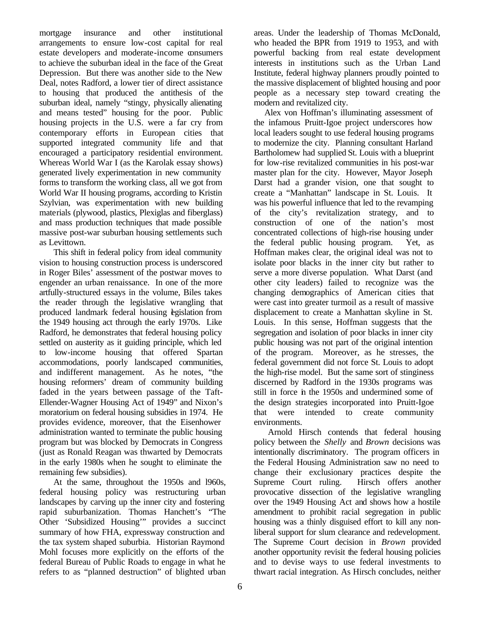mortgage insurance and other institutional arrangements to ensure low-cost capital for real estate developers and moderate-income consumers to achieve the suburban ideal in the face of the Great Depression. But there was another side to the New Deal, notes Radford, a lower tier of direct assistance to housing that produced the antithesis of the suburban ideal, namely "stingy, physically alienating and means tested" housing for the poor. Public housing projects in the U.S. were a far cry from contemporary efforts in European cities that supported integrated community life and that encouraged a participatory residential environment. Whereas World War I (as the Karolak essay shows) generated lively experimentation in new community forms to transform the working class, all we got from World War II housing programs, according to Kristin Szylvian, was experimentation with new building materials (plywood, plastics, Plexiglas and fiberglass) and mass production techniques that made possible massive post-war suburban housing settlements such as Levittown.

This shift in federal policy from ideal community vision to housing construction process is underscored in Roger Biles' assessment of the postwar moves to engender an urban renaissance. In one of the more artfully-structured essays in the volume, Biles takes the reader through the legislative wrangling that produced landmark federal housing legislation from the 1949 housing act through the early 1970s. Like Radford, he demonstrates that federal housing policy settled on austerity as it guiding principle, which led to low-income housing that offered Spartan accommodations, poorly landscaped communities, and indifferent management. As he notes, "the housing reformers' dream of community building faded in the years between passage of the Taft-Ellender-Wagner Housing Act of 1949" and Nixon's moratorium on federal housing subsidies in 1974. He provides evidence, moreover, that the Eisenhower administration wanted to terminate the public housing program but was blocked by Democrats in Congress (just as Ronald Reagan was thwarted by Democrats in the early 1980s when he sought to eliminate the remaining few subsidies).

At the same, throughout the 1950s and l960s, federal housing policy was restructuring urban landscapes by carving up the inner city and fostering rapid suburbanization. Thomas Hanchett's "The Other 'Subsidized Housing'" provides a succinct summary of how FHA, expressway construction and the tax system shaped suburbia. Historian Raymond Mohl focuses more explicitly on the efforts of the federal Bureau of Public Roads to engage in what he refers to as "planned destruction" of blighted urban areas. Under the leadership of Thomas McDonald, who headed the BPR from 1919 to 1953, and with powerful backing from real estate development interests in institutions such as the Urban Land Institute, federal highway planners proudly pointed to the massive displacement of blighted housing and poor people as a necessary step toward creating the modern and revitalized city.

Alex von Hoffman's illuminating assessment of the infamous Pruitt-Igoe project underscores how local leaders sought to use federal housing programs to modernize the city. Planning consultant Harland Bartholomew had supplied St. Louis with a blueprint for low-rise revitalized communities in his post-war master plan for the city. However, Mayor Joseph Darst had a grander vision, one that sought to create a "Manhattan" landscape in St. Louis. It was his powerful influence that led to the revamping of the city's revitalization strategy, and to construction of one of the nation's most concentrated collections of high-rise housing under the federal public housing program. Yet, as Hoffman makes clear, the original ideal was not to isolate poor blacks in the inner city but rather to serve a more diverse population. What Darst (and other city leaders) failed to recognize was the changing demographics of American cities that were cast into greater turmoil as a result of massive displacement to create a Manhattan skyline in St. Louis. In this sense, Hoffman suggests that the segregation and isolation of poor blacks in inner city public housing was not part of the original intention of the program. Moreover, as he stresses, the federal government did not force St. Louis to adopt the high-rise model. But the same sort of stinginess discerned by Radford in the 1930s programs was still in force in the 1950s and undermined some of the design strategies incorporated into Pruitt-Igoe that were intended to create community environments.

Arnold Hirsch contends that federal housing policy between the *Shelly* and *Brown* decisions was intentionally discriminatory. The program officers in the Federal Housing Administration saw no need to change their exclusionary practices despite the Supreme Court ruling. Hirsch offers another provocative dissection of the legislative wrangling over the 1949 Housing Act and shows how a hostile amendment to prohibit racial segregation in public housing was a thinly disguised effort to kill any nonliberal support for slum clearance and redevelopment. The Supreme Court decision in *Brown* provided another opportunity revisit the federal housing policies and to devise ways to use federal investments to thwart racial integration. As Hirsch concludes, neither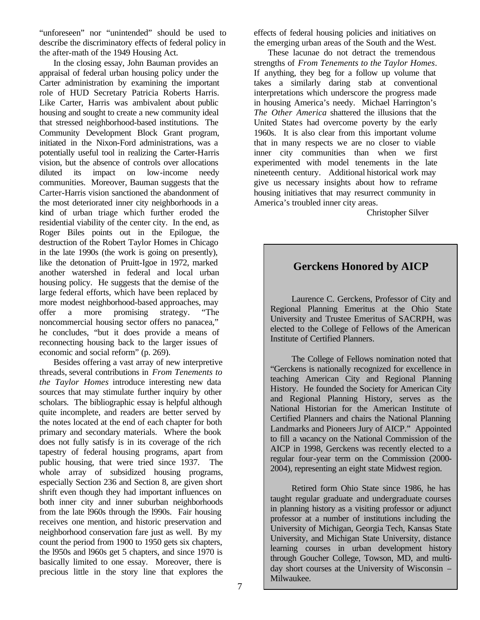"unforeseen" nor "unintended" should be used to describe the discriminatory effects of federal policy in the after-math of the 1949 Housing Act.

In the closing essay, John Bauman provides an appraisal of federal urban housing policy under the Carter administration by examining the important role of HUD Secretary Patricia Roberts Harris. Like Carter, Harris was ambivalent about public housing and sought to create a new community ideal that stressed neighborhood-based institutions. The Community Development Block Grant program, initiated in the Nixon-Ford administrations, was a potentially useful tool in realizing the Carter-Harris vision, but the absence of controls over allocations diluted its impact on low-income needy communities. Moreover, Bauman suggests that the Carter-Harris vision sanctioned the abandonment of the most deteriorated inner city neighborhoods in a kind of urban triage which further eroded the residential viability of the center city. In the end, as Roger Biles points out in the Epilogue, the destruction of the Robert Taylor Homes in Chicago in the late 1990s (the work is going on presently), like the detonation of Pruitt-Igoe in 1972, marked another watershed in federal and local urban housing policy. He suggests that the demise of the large federal efforts, which have been replaced by more modest neighborhood-based approaches, may offer a more promising strategy. "The noncommercial housing sector offers no panacea," he concludes, "but it does provide a means of reconnecting housing back to the larger issues of economic and social reform" (p. 269).

Besides offering a vast array of new interpretive threads, several contributions in *From Tenements to the Taylor Homes* introduce interesting new data sources that may stimulate further inquiry by other scholars. The bibliographic essay is helpful although quite incomplete, and readers are better served by the notes located at the end of each chapter for both primary and secondary materials. Where the book does not fully satisfy is in its coverage of the rich tapestry of federal housing programs, apart from public housing, that were tried since 1937. The whole array of subsidized housing programs, especially Section 236 and Section 8, are given short shrift even though they had important influences on both inner city and inner suburban neighborhoods from the late l960s through the l990s. Fair housing receives one mention, and historic preservation and neighborhood conservation fare just as well. By my count the period from 1900 to 1950 gets six chapters, the l950s and l960s get 5 chapters, and since 1970 is basically limited to one essay. Moreover, there is precious little in the story line that explores the effects of federal housing policies and initiatives on the emerging urban areas of the South and the West.

These lacunae do not detract the tremendous strengths of *From Tenements to the Taylor Homes*. If anything, they beg for a follow up volume that takes a similarly daring stab at conventional interpretations which underscore the progress made in housing America's needy. Michael Harrington's *The Other America* shattered the illusions that the United States had overcome poverty by the early 1960s. It is also clear from this important volume that in many respects we are no closer to viable inner city communities than when we first experimented with model tenements in the late nineteenth century. Additional historical work may give us necessary insights about how to reframe housing initiatives that may resurrect community in America's troubled inner city areas.

Christopher Silver

# **Gerckens Honored by AICP**

Laurence C. Gerckens, Professor of City and Regional Planning Emeritus at the Ohio State University and Trustee Emeritus of SACRPH, was elected to the College of Fellows of the American Institute of Certified Planners.

The College of Fellows nomination noted that "Gerckens is nationally recognized for excellence in teaching American City and Regional Planning History. He founded the Society for American City and Regional Planning History, serves as the National Historian for the American Institute of Certified Planners and chairs the National Planning Landmarks and Pioneers Jury of AICP." Appointed to fill a vacancy on the National Commission of the AICP in 1998, Gerckens was recently elected to a regular four-year term on the Commission (2000- 2004), representing an eight state Midwest region.

Retired form Ohio State since 1986, he has taught regular graduate and undergraduate courses in planning history as a visiting professor or adjunct professor at a number of institutions including the University of Michigan, Georgia Tech, Kansas State University, and Michigan State University, distance learning courses in urban development history through Goucher College, Towson, MD, and multiday short courses at the University of Wisconsin – Milwaukee.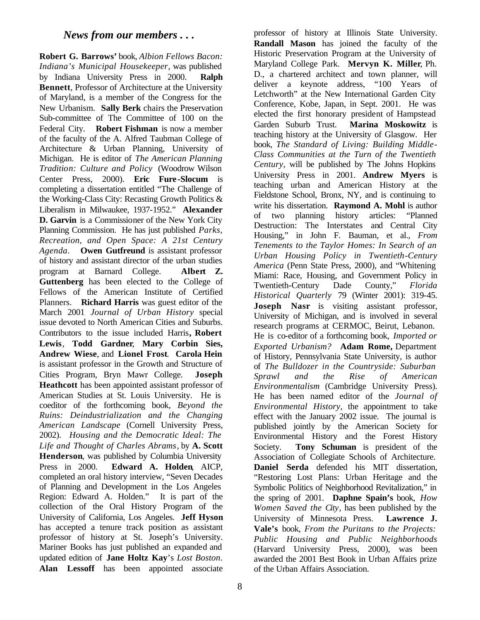#### *News from our members . . .*

**Robert G. Barrows'** book, *Albion Fellows Bacon: Indiana's Municipal Housekeeper*, was published by Indiana University Press in 2000. **Ralph Bennett**, Professor of Architecture at the University of Maryland, is a member of the Congress for the New Urbanism. **Sally Berk** chairs the Preservation Sub-committee of The Committee of 100 on the Federal City. **Robert Fishman** is now a member of the faculty of the A. Alfred Taubman College of Architecture & Urban Planning, University of Michigan. He is editor of *The American Planning Tradition: Culture and Policy* (Woodrow Wilson Center Press, 2000). **Eric Fure -Slocum** is completing a dissertation entitled "The Challenge of the Working-Class City: Recasting Growth Politics & Liberalism in Milwaukee, 1937-1952." **Alexander D. Garvin** is a Commissioner of the New York City Planning Commission. He has just published *Parks, Recreation, and Open Space: A 21st Century Agenda*. **Owen Gutfreund** is assistant professor of history and assistant director of the urban studies program at Barnard College. **Albert Z. Guttenberg** has been elected to the College of Fellows of the American Institute of Certified Planners. **Richard Harris** was guest editor of the March 2001 *Journal of Urban History* special issue devoted to North American Cities and Suburbs. Contributors to the issue included Harris**, Robert Lewis**, **Todd Gardner**, **Mary Corbin Sies, Andrew Wiese**, and **Lionel Frost**. **Carola Hein**  is assistant professor in the Growth and Structure of Cities Program, Bryn Mawr College. **Joseph Heathcott** has been appointed assistant professor of American Studies at St. Louis University. He is coeditor of the forthcoming book*, Beyond the Ruins: Deindustrialization and the Changing American Landscape* (Cornell University Press, 2002). *Housing and the Democratic Ideal: The Life and Thought of Charles Abrams*, by **A. Scott Henderson**, was published by Columbia University Press in 2000. **Edward A. Holden**, AICP, completed an oral history interview, "Seven Decades of Planning and Development in the Los Angeles Region: Edward A. Holden." It is part of the collection of the Oral History Program of the University of California, Los Angeles. **Jeff Hyson** has accepted a tenure track position as assistant professor of history at St. Joseph's University. Mariner Books has just published an expanded and updated edition of **Jane Holtz Kay**'s *Lost Boston*. **Alan Lessoff** has been appointed associate

professor of history at Illinois State University. **Randall Mason** has joined the faculty of the Historic Preservation Program at the University of Maryland College Park. **Mervyn K. Miller**, Ph. D., a chartered architect and town planner, will deliver a keynote address, "100 Years of Letchworth" at the New International Garden City Conference, Kobe, Japan, in Sept. 2001. He was elected the first honorary president of Hampstead Garden Suburb Trust. **Marina Moskowitz** is teaching history at the University of Glasgow. Her book, *The Standard of Living: Building Middle-Class Communities at the Turn of the Twentieth Century*, will be published by The Johns Hopkins University Press in 2001. **Andrew Myers** is teaching urban and American History at the Fieldstone School, Bronx, NY, and is continuing to write his dissertation. **Raymond A. Mohl** is author of two planning history articles: "Planned Destruction: The Interstates and Central City Housing," in John F. Bauman, et al., *From Tenements to the Taylor Homes: In Search of an Urban Housing Policy in Twentieth-Century America* (Penn State Press, 2000), and "Whitening Miami: Race, Housing, and Government Policy in Twentieth-Century Dade County," *Florida Historical Quarterly* 79 (Winter 2001): 319-45. **Joseph Nasr** is visiting assistant professor, University of Michigan, and is involved in several research programs at CERMOC, Beirut, Lebanon. He is co-editor of a forthcoming book, *Imported or Exported Urbanism?* **Adam Rome,** Department of History, Pennsylvania State University, is author of *The Bulldozer in the Countryside: Suburban Sprawl and the Rise of American Environmentalism* (Cambridge University Press). He has been named editor of the *Journal of Environmental History,* the appointment to take effect with the January 2002 issue. The journal is published jointly by the American Society for Environmental History and the Forest History Society. **Tony Schuman** is president of the Association of Collegiate Schools of Architecture. **Daniel Serda** defended his MIT dissertation, "Restoring Lost Plans: Urban Heritage and the Symbolic Politics of Neighborhood Revitalization," in the spring of 2001. **Daphne Spain's** book, *How Women Saved the City*, has been published by the University of Minnesota Press. **Lawrence J. Vale's** book*, From the Puritans to the Projects: Public Housing and Public Neighborhoods* (Harvard University Press, 2000), was been awarded the 2001 Best Book in Urban Affairs prize of the Urban Affairs Association.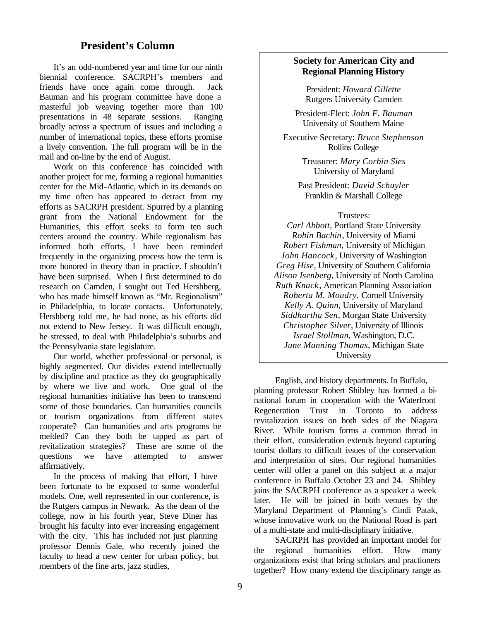## **President's Column**

It's an odd-numbered year and time for our ninth biennial conference. SACRPH's members and friends have once again come through. Jack Bauman and his program committee have done a masterful job weaving together more than 100 presentations in 48 separate sessions. Ranging broadly across a spectrum of issues and including a number of international topics, these efforts promise a lively convention. The full program will be in the mail and on-line by the end of August.

Work on this conference has coincided with another project for me, forming a regional humanities center for the Mid-Atlantic, which in its demands on my time often has appeared to detract from my efforts as SACRPH president. Spurred by a planning grant from the National Endowment for the Humanities, this effort seeks to form ten such centers around the country. While regionalism has informed both efforts, I have been reminded frequently in the organizing process how the term is more honored in theory than in practice. I shouldn't have been surprised. When I first determined to do research on Camden, I sought out Ted Hershberg, who has made himself known as "Mr. Regionalism" in Philadelphia, to locate contacts. Unfortunately, Hershberg told me, he had none, as his efforts did not extend to New Jersey. It was difficult enough, he stressed, to deal with Philadelphia's suburbs and the Pennsylvania state legislature.

Our world, whether professional or personal, is highly segmented. Our divides extend intellectually by discipline and practice as they do geographically by where we live and work. One goal of the regional humanities initiative has been to transcend some of those boundaries. Can humanities councils or tourism organizations from different states cooperate? Can humanities and arts programs be melded? Can they both be tapped as part of revitalization strategies? These are some of the questions we have attempted to answer affirmatively.

In the process of making that effort, I have been fortunate to be exposed to some wonderful models. One, well represented in our conference, is the Rutgers campus in Newark. As the dean of the college, now in his fourth year, Steve Diner has brought his faculty into ever increasing engagement with the city. This has included not just planning professor Dennis Gale, who recently joined the faculty to head a new center for urban policy, but members of the fine arts, jazz studies,

#### **Society for American City and Regional Planning History**

President: *Howard Gillette* Rutgers University Camden

President-Elect: *John F. Bauman* University of Southern Maine

Executive Secretary: *Bruce Stephenson* Rollins College

> Treasurer: *Mary Corbin Sies* University of Maryland

Past President: *David Schuyler* Franklin & Marshall College

#### Trustees:

*Carl Abbott,* Portland State University *Robin Bachin*, University of Miami *Robert Fishman*, University of Michigan *John Hancock*, University of Washington *Greg Hise*, University of Southern California *Alison Isenberg*, University of North Carolina *Ruth Knack*, American Planning Association *Roberta M. Moudry,* Cornell University *Kelly A. Quinn*, University of Maryland *Siddhartha Sen*, Morgan State University *Christopher Silver*, University of Illinois *Israel Stollman*, Washington, D.C. *June Manning Thomas*, Michigan State University

English, and history departments. In Buffalo, planning professor Robert Shibley has formed a binational forum in cooperation with the Waterfront Regeneration Trust in Toronto to address revitalization issues on both sides of the Niagara River. While tourism forms a common thread in their effort, consideration extends beyond capturing tourist dollars to difficult issues of the conservation and interpretation of sites. Our regional humanities center will offer a panel on this subject at a major conference in Buffalo October 23 and 24. Shibley joins the SACRPH conference as a speaker a week later. He will be joined in both venues by the Maryland Department of Planning's Cindi Patak, whose innovative work on the National Road is part of a multi-state and multi-disciplinary initiative.

SACRPH has provided an important model for the regional humanities effort. How many organizations exist that bring scholars and practioners together? How many extend the disciplinary range as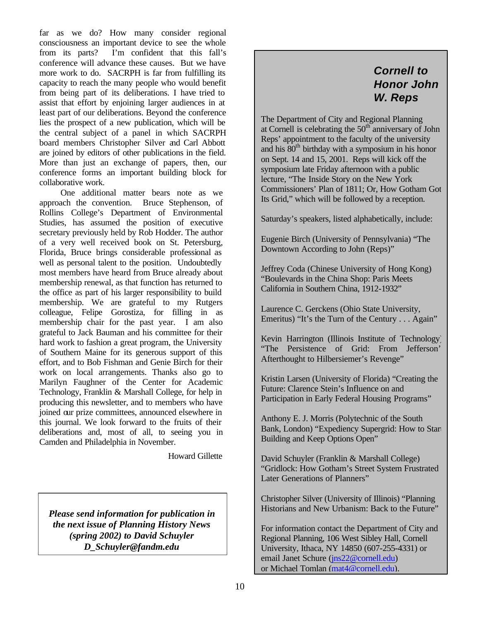far as we do? How many consider regional consciousness an important device to see the whole from its parts? I'm confident that this fall's conference will advance these causes. But we have more work to do. SACRPH is far from fulfilling its capacity to reach the many people who would benefit from being part of its deliberations. I have tried to assist that effort by enjoining larger audiences in at least part of our deliberations. Beyond the conference lies the prospect of a new publication, which will be the central subject of a panel in which SACRPH board members Christopher Silver and Carl Abbott are joined by editors of other publications in the field. More than just an exchange of papers, then, our conference forms an important building block for collaborative work.

One additional matter bears note as we approach the convention. Bruce Stephenson, of Rollins College's Department of Environmental Studies, has assumed the position of executive secretary previously held by Rob Hodder. The author of a very well received book on St. Petersburg, Florida, Bruce brings considerable professional as well as personal talent to the position. Undoubtedly most members have heard from Bruce already about membership renewal, as that function has returned to the office as part of his larger responsibility to build membership. We are grateful to my Rutgers colleague, Felipe Gorostiza, for filling in as membership chair for the past year. I am also grateful to Jack Bauman and his committee for their hard work to fashion a great program, the University of Southern Maine for its generous support of this effort, and to Bob Fishman and Genie Birch for their work on local arrangements. Thanks also go to Marilyn Faughner of the Center for Academic Technology, Franklin & Marshall College, for help in producing this newsletter, and to members who have joined our prize committees, announced elsewhere in this journal. We look forward to the fruits of their deliberations and, most of all, to seeing you in Camden and Philadelphia in November.

Howard Gillette

*Please send information for publication in the next issue of Planning History News (spring 2002) to David Schuyler D\_Schuyler@fandm.edu*

# *Cornell to Honor John W. Reps*

The Department of City and Regional Planning at Cornell is celebrating the  $50<sup>th</sup>$  anniversary of John Reps' appointment to the faculty of the university and his 80<sup>th</sup> birthday with a symposium in his honor on Sept. 14 and 15, 2001. Reps will kick off the symposium late Friday afternoon with a public lecture, "The Inside Story on the New York Commissioners' Plan of 1811; Or, How Gotham Got Its Grid," which will be followed by a reception.

Saturday's speakers, listed alphabetically, include:

Eugenie Birch (University of Pennsylvania) "The Downtown According to John (Reps)"

Jeffrey Coda (Chinese University of Hong Kong) "Boulevards in the China Shop: Paris Meets California in Southern China, 1912-1932"

Laurence C. Gerckens (Ohio State University, Emeritus) "It's the Turn of the Century . . . Again"

Kevin Harrington (Illinois Institute of Technology) "The Persistence of Grid: From Jefferson" Afterthought to Hilbersiemer's Revenge"

Kristin Larsen (University of Florida) "Creating the Future: Clarence Stein's Influence on and Participation in Early Federal Housing Programs"

Anthony E. J. Morris (Polytechnic of the South Bank, London) "Expediency Supergrid: How to Star Building and Keep Options Open"

David Schuyler (Franklin & Marshall College) "Gridlock: How Gotham's Street System Frustrated Later Generations of Planners"

Christopher Silver (University of Illinois) "Planning Historians and New Urbanism: Back to the Future"

For information contact the Department of City and Regional Planning, 106 West Sibley Hall, Cornell University, Ithaca, NY 14850 (607-255-4331) or email Janet Schure (jns22@cornell.edu) or Michael Tomlan (mat4@cornell.edu).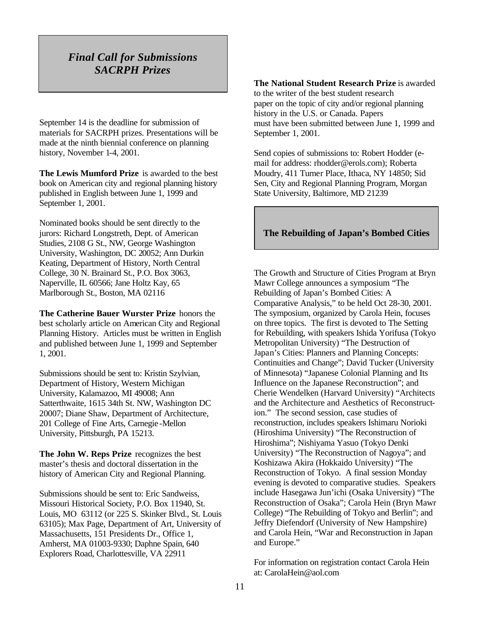# *Final Call for Submissions SACRPH Prizes*

September 14 is the deadline for submission of materials for SACRPH prizes. Presentations will be made at the ninth biennial conference on planning history, November 1-4, 2001.

**The Lewis Mumford Prize** is awarded to the best book on American city and regional planning history published in English between June 1, 1999 and September 1, 2001.

Nominated books should be sent directly to the jurors: Richard Longstreth, Dept. of American Studies, 2108 G St., NW, George Washington University, Washington, DC 20052; Ann Durkin Keating, Department of History, North Central College, 30 N. Brainard St., P.O. Box 3063, Naperville, IL 60566; Jane Holtz Kay, 65 Marlborough St., Boston, MA 02116

**The Catherine Bauer Wurster Prize** honors the best scholarly article on American City and Regional Planning History. Articles must be written in English and published between June 1, 1999 and September 1, 2001.

Submissions should be sent to: Kristin Szylvian, Department of History, Western Michigan University, Kalamazoo, MI 49008; Ann Satterthwaite, 1615 34th St. NW, Washington DC 20007; Diane Shaw, Department of Architecture, 201 College of Fine Arts, Carnegie-Mellon University, Pittsburgh, PA 15213.

**The John W. Reps Prize** recognizes the best master's thesis and doctoral dissertation in the history of American City and Regional Planning.

Submissions should be sent to: Eric Sandweiss, Missouri Historical Society, P.O. Box 11940, St. Louis, MO 63112 (or 225 S. Skinker Blvd., St. Louis 63105); Max Page, Department of Art, University of Massachusetts, 151 Presidents Dr., Office 1, Amherst, MA 01003-9330; Daphne Spain, 640 Explorers Road, Charlottesville, VA 22911

**The National Student Research Prize** is awarded to the writer of the best student research paper on the topic of city and/or regional planning history in the U.S. or Canada. Papers must have been submitted between June 1, 1999 and September 1, 2001.

Send copies of submissions to: Robert Hodder (email for address: rhodder@erols.com); Roberta Moudry, 411 Turner Place, Ithaca, NY 14850; Sid Sen, City and Regional Planning Program, Morgan State University, Baltimore, MD 21239

#### **The Rebuilding of Japan's Bombed Cities**

The Growth and Structure of Cities Program at Bryn Mawr College announces a symposium "The Rebuilding of Japan's Bombed Cities: A Comparative Analysis," to be held Oct 28-30, 2001. The symposium, organized by Carola Hein, focuses on three topics. The first is devoted to The Setting for Rebuilding, with speakers Ishida Yorifusa (Tokyo Metropolitan University) "The Destruction of Japan's Cities: Planners and Planning Concepts: Continuities and Change"; David Tucker (University of Minnesota) "Japanese Colonial Planning and Its Influence on the Japanese Reconstruction"; and Cherie Wendelken (Harvard University) "Architects and the Architecture and Aesthetics of Reconstruction." The second session, case studies of reconstruction, includes speakers Ishimaru Norioki (Hiroshima University) "The Reconstruction of Hiroshima"; Nishiyama Yasuo (Tokyo Denki University) "The Reconstruction of Nagoya"; and Koshizawa Akira (Hokkaido University) "The Reconstruction of Tokyo. A final session Monday evening is devoted to comparative studies. Speakers include Hasegawa Jun'ichi (Osaka University) "The Reconstruction of Osaka"; Carola Hein (Bryn Mawr College) "The Rebuilding of Tokyo and Berlin"; and Jeffry Diefendorf (University of New Hampshire) and Carola Hein, "War and Reconstruction in Japan and Europe."

For information on registration contact Carola Hein at: CarolaHein@aol.com